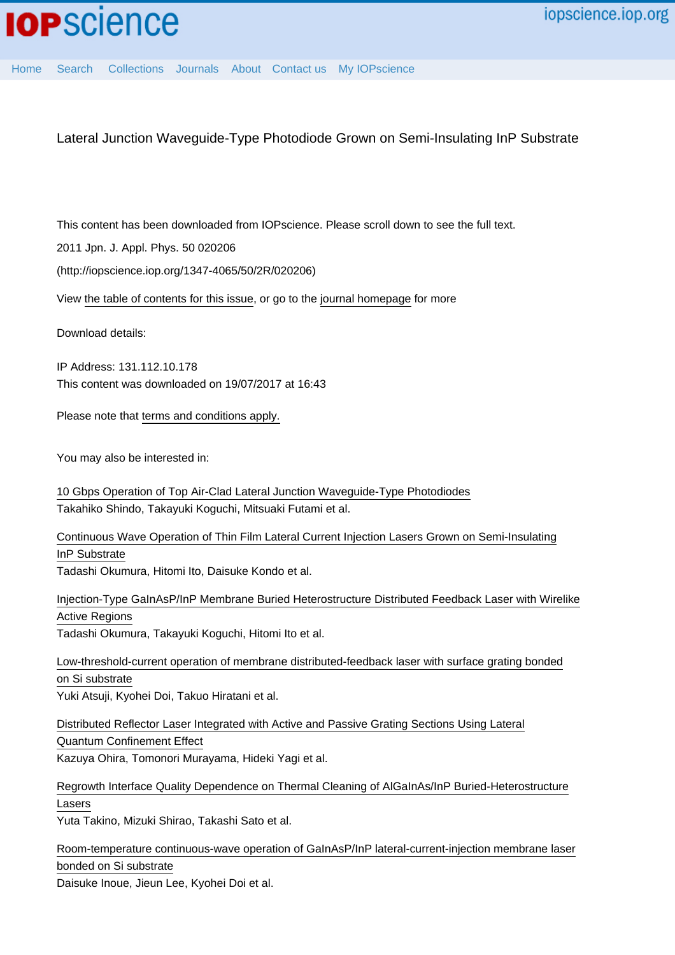[Home](http://iopscience.iop.org/) [Search](http://iopscience.iop.org/search) [Collections](http://iopscience.iop.org/collections) [Journals](http://iopscience.iop.org/journals) [About](http://iopscience.iop.org/page/aboutioppublishing) [Contact us](http://iopscience.iop.org/contact) [My IOPscience](http://iopscience.iop.org/myiopscience)

Lateral Junction Waveguide-Type Photodiode Grown on Semi-Insulating InP Substrate

This content has been downloaded from IOPscience. Please scroll down to see the full text.

2011 Jpn. J. Appl. Phys. 50 020206

(http://iopscience.iop.org/1347-4065/50/2R/020206)

View [the table of contents for this issue](http://iopscience.iop.org/1347-4065/50/2R), or go to the [journal homepage](http://iopscience.iop.org/1347-4065) for more

Download details:

IP Address: 131.112.10.178 This content was downloaded on 19/07/2017 at 16:43

Please note that [terms and conditions apply.](http://iopscience.iop.org/page/terms)

You may also be interested in:

[10 Gbps Operation of Top Air-Clad Lateral Junction Waveguide-Type Photodiodes](http://iopscience.iop.org/article/10.7567/JJAP.52.118002) Takahiko Shindo, Takayuki Koguchi, Mitsuaki Futami et al.

[Continuous Wave Operation of Thin Film Lateral Current Injection Lasers Grown on Semi-Insulating](http://iopscience.iop.org/article/10.1143/JJAP.49.040205) [InP Substrate](http://iopscience.iop.org/article/10.1143/JJAP.49.040205)

Tadashi Okumura, Hitomi Ito, Daisuke Kondo et al.

[Injection-Type GaInAsP/InP Membrane Buried Heterostructure Distributed Feedback Laser with Wirelike](http://iopscience.iop.org/article/10.1143/APEX.4.042101) [Active Regions](http://iopscience.iop.org/article/10.1143/APEX.4.042101) Tadashi Okumura, Takayuki Koguchi, Hitomi Ito et al.

[Low-threshold-current operation of membrane distributed-feedback laser with surface grating bonded](http://iopscience.iop.org/article/10.7567/JJAP.54.080301) [on Si substrate](http://iopscience.iop.org/article/10.7567/JJAP.54.080301) Yuki Atsuji, Kyohei Doi, Takuo Hiratani et al.

[Distributed Reflector Laser Integrated with Active and Passive Grating Sections Using Lateral](http://iopscience.iop.org/article/10.1143/JJAP.42.L921) [Quantum Confinement Effect](http://iopscience.iop.org/article/10.1143/JJAP.42.L921) Kazuya Ohira, Tomonori Murayama, Hideki Yagi et al.

[Regrowth Interface Quality Dependence on Thermal Cleaning of AlGaInAs/InP Buried-Heterostructure](http://iopscience.iop.org/article/10.1143/JJAP.50.070203) [Lasers](http://iopscience.iop.org/article/10.1143/JJAP.50.070203)

Yuta Takino, Mizuki Shirao, Takashi Sato et al.

[Room-temperature continuous-wave operation of GaInAsP/InP lateral-current-injection membrane laser](http://iopscience.iop.org/article/10.7567/APEX.7.072701) [bonded on Si substrate](http://iopscience.iop.org/article/10.7567/APEX.7.072701)

Daisuke Inoue, Jieun Lee, Kyohei Doi et al.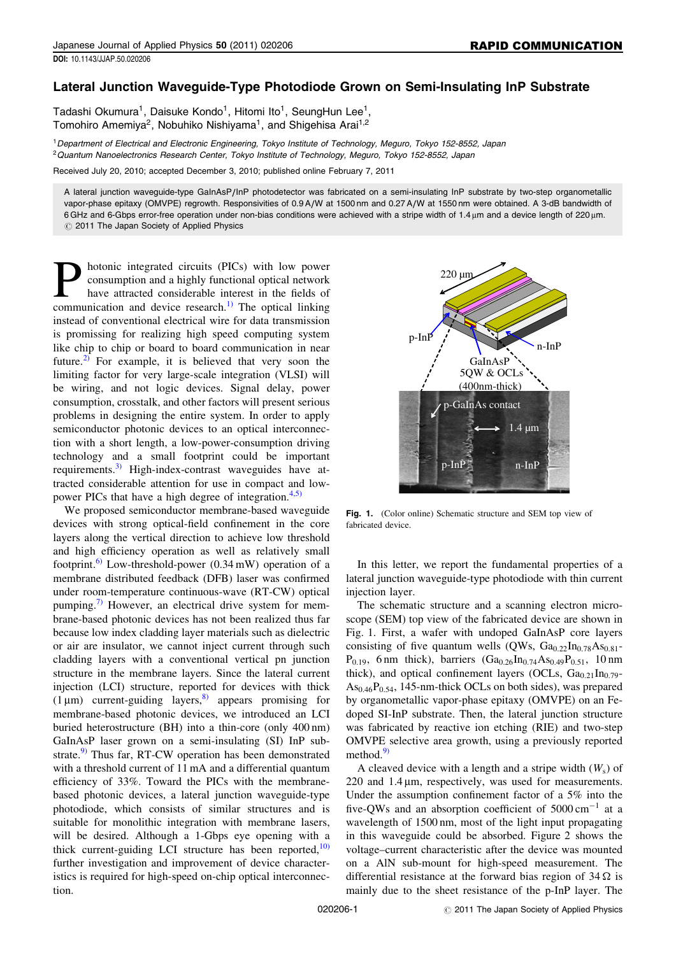## Lateral Junction Waveguide-Type Photodiode Grown on Semi-Insulating InP Substrate

Tadashi Okumura<sup>1</sup>, Daisuke Kondo<sup>1</sup>, Hitomi Ito<sup>1</sup>, SeungHun Lee<sup>1</sup>, Tomohiro Amemiya<sup>2</sup>, Nobuhiko Nishiyama<sup>1</sup>, and Shigehisa Arai<sup>1,2</sup>

<sup>1</sup>Department of Electrical and Electronic Engineering, Tokyo Institute of Technology, Meguro, Tokyo 152-8552, Japan <sup>2</sup>Quantum Nanoelectronics Research Center, Tokyo Institute of Technology, Meguro, Tokyo 152-8552, Japan

Received July 20, 2010; accepted December 3, 2010; published online February 7, 2011

A lateral junction waveguide-type GaInAsP/InP photodetector was fabricated on a semi-insulating InP substrate by two-step organometallic vapor-phase epitaxy (OMVPE) regrowth. Responsivities of 0.9 A/W at 1500 nm and 0.27 A/W at 1550 nm were obtained. A 3-dB bandwidth of 6 GHz and 6-Gbps error-free operation under non-bias conditions were achieved with a stripe width of 1.4 um and a device length of 220 um.  $\circledcirc$  2011 The Japan Society of Applied Physics

**Photonic integrated circuits (PICs) with low power consumption and a highly functional optical network** have attracted considerable interest in the fields of communication and device research <sup>1)</sup> The optical linking consumption and a highly functional optical network have attracted considerable interest in the fields of communication and device research.<sup>1)</sup> The optical linking instead of conventional electrical wire for data transmission is promissing for realizing high speed computing system like chip to chip or board to board communication in near future.<sup>[2\)](#page-3-0)</sup> For example, it is believed that very soon the limiting factor for very large-scale integration (VLSI) will be wiring, and not logic devices. Signal delay, power consumption, crosstalk, and other factors will present serious problems in designing the entire system. In order to apply semiconductor photonic devices to an optical interconnection with a short length, a low-power-consumption driving technology and a small footprint could be important requirements.<sup>[3\)](#page-3-0)</sup> High-index-contrast waveguides have attracted considerable attention for use in compact and low-power PICs that have a high degree of integration.<sup>[4,5\)](#page-3-0)</sup>

We proposed semiconductor membrane-based waveguide devices with strong optical-field confinement in the core layers along the vertical direction to achieve low threshold and high efficiency operation as well as relatively small footprint.[6\)](#page-3-0) Low-threshold-power (0.34 mW) operation of a membrane distributed feedback (DFB) laser was confirmed under room-temperature continuous-wave (RT-CW) optical pumping.<sup>[7\)](#page-3-0)</sup> However, an electrical drive system for membrane-based photonic devices has not been realized thus far because low index cladding layer materials such as dielectric or air are insulator, we cannot inject current through such cladding layers with a conventional vertical pn junction structure in the membrane layers. Since the lateral current injection (LCI) structure, reported for devices with thick (1  $\mu$ m) current-guiding layers,<sup>[8\)](#page-3-0)</sup> appears promising for membrane-based photonic devices, we introduced an LCI buried heterostructure (BH) into a thin-core (only 400 nm) GaInAsP laser grown on a semi-insulating (SI) InP sub-strate.<sup>[9\)](#page-3-0)</sup> Thus far, RT-CW operation has been demonstrated with a threshold current of 11 mA and a differential quantum efficiency of 33%. Toward the PICs with the membranebased photonic devices, a lateral junction waveguide-type photodiode, which consists of similar structures and is suitable for monolithic integration with membrane lasers, will be desired. Although a 1-Gbps eye opening with a thick current-guiding LCI structure has been reported, $10$ ) further investigation and improvement of device characteristics is required for high-speed on-chip optical interconnection.



Fig. 1. (Color online) Schematic structure and SEM top view of fabricated device.

In this letter, we report the fundamental properties of a lateral junction waveguide-type photodiode with thin current injection layer.

The schematic structure and a scanning electron microscope (SEM) top view of the fabricated device are shown in Fig. 1. First, a wafer with undoped GaInAsP core layers consisting of five quantum wells (QWs,  $Ga_{0.22}In_{0.78}As_{0.81}$ - $P_{0.19}$ , 6 nm thick), barriers  $(Ga_{0.26}In_{0.74}As_{0.49}P_{0.51}$ , 10 nm thick), and optical confinement layers (OCLs,  $Ga<sub>0.21</sub> In<sub>0.79</sub>$ - $As<sub>0.46</sub>P<sub>0.54</sub>$ , 145-nm-thick OCLs on both sides), was prepared by organometallic vapor-phase epitaxy (OMVPE) on an Fedoped SI-InP substrate. Then, the lateral junction structure was fabricated by reactive ion etching (RIE) and two-step OMVPE selective area growth, using a previously reported method. $9$ 

A cleaved device with a length and a stripe width  $(W<sub>s</sub>)$  of  $220$  and  $1.4 \mu m$ , respectively, was used for measurements. Under the assumption confinement factor of a 5% into the five-QWs and an absorption coefficient of  $5000 \text{ cm}^{-1}$  at a wavelength of 1500 nm, most of the light input propagating in this waveguide could be absorbed. Figure 2 shows the voltage–current characteristic after the device was mounted on a AlN sub-mount for high-speed measurement. The differential resistance at the forward bias region of  $34 \Omega$  is mainly due to the sheet resistance of the p-InP layer. The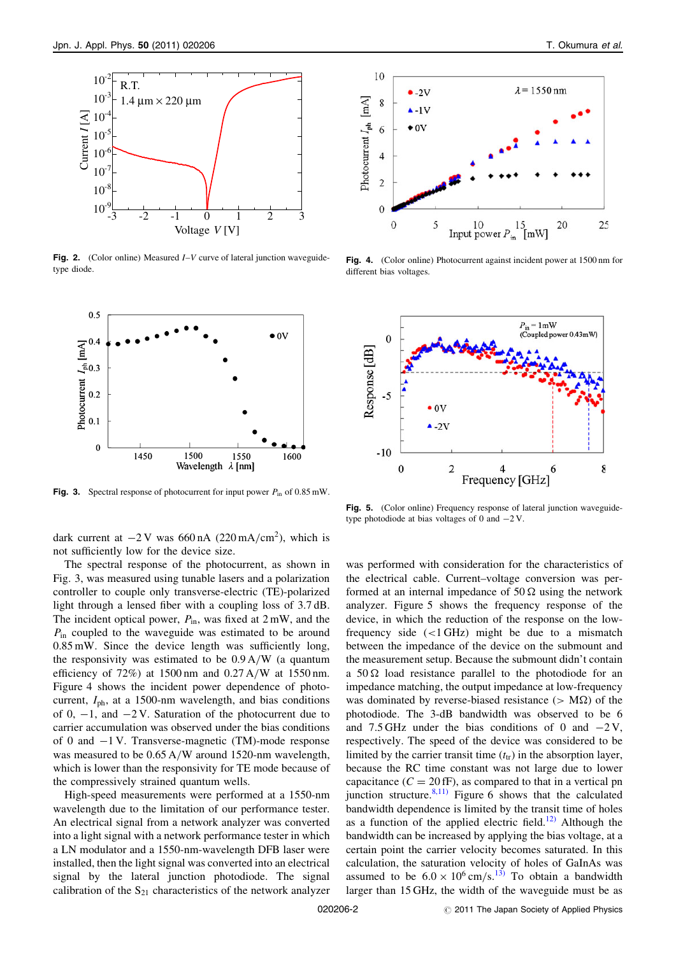

**Fig. 2.** (Color online) Measured  $I-V$  curve of lateral junction waveguidetype diode.



**Fig. 3.** Spectral response of photocurrent for input power  $P_{in}$  of 0.85 mW.

dark current at  $-2$  V was 660 nA (220 mA/cm<sup>2</sup>), which is not sufficiently low for the device size.

The spectral response of the photocurrent, as shown in Fig. 3, was measured using tunable lasers and a polarization controller to couple only transverse-electric (TE)-polarized light through a lensed fiber with a coupling loss of 3.7 dB. The incident optical power,  $P_{\text{in}}$ , was fixed at  $2 \text{ mW}$ , and the  $P_{\text{in}}$  coupled to the waveguide was estimated to be around 0.85 mW. Since the device length was sufficiently long, the responsivity was estimated to be 0.9 A/W (a quantum efficiency of 72%) at 1500 nm and 0.27 A/W at 1550 nm. Figure 4 shows the incident power dependence of photocurrent,  $I_{ph}$ , at a 1500-nm wavelength, and bias conditions of 0,  $-1$ , and  $-2V$ . Saturation of the photocurrent due to carrier accumulation was observed under the bias conditions of 0 and  $-1$  V. Transverse-magnetic (TM)-mode response was measured to be 0.65 A/W around 1520-nm wavelength, which is lower than the responsivity for TE mode because of the compressively strained quantum wells.

High-speed measurements were performed at a 1550-nm wavelength due to the limitation of our performance tester. An electrical signal from a network analyzer was converted into a light signal with a network performance tester in which a LN modulator and a 1550-nm-wavelength DFB laser were installed, then the light signal was converted into an electrical signal by the lateral junction photodiode. The signal calibration of the  $S_{21}$  characteristics of the network analyzer



Fig. 4. (Color online) Photocurrent against incident power at 1500 nm for different bias voltages.



Fig. 5. (Color online) Frequency response of lateral junction waveguidetype photodiode at bias voltages of 0 and  $-2$  V.

was performed with consideration for the characteristics of the electrical cable. Current–voltage conversion was performed at an internal impedance of 50  $\Omega$  using the network analyzer. Figure 5 shows the frequency response of the device, in which the reduction of the response on the lowfrequency side  $(<1$  GHz) might be due to a mismatch between the impedance of the device on the submount and the measurement setup. Because the submount didn't contain a  $50 \Omega$  load resistance parallel to the photodiode for an impedance matching, the output impedance at low-frequency was dominated by reverse-biased resistance ( $> M\Omega$ ) of the photodiode. The 3-dB bandwidth was observed to be 6 and 7.5 GHz under the bias conditions of 0 and  $-2$  V, respectively. The speed of the device was considered to be limited by the carrier transit time  $(t<sub>tr</sub>)$  in the absorption layer, because the RC time constant was not large due to lower capacitance ( $C = 20$  fF), as compared to that in a vertical pn junction structure.<sup>[8,11\)](#page-3-0)</sup> Figure 6 shows that the calculated bandwidth dependence is limited by the transit time of holes as a function of the applied electric field.<sup>[12\)](#page-3-0)</sup> Although the bandwidth can be increased by applying the bias voltage, at a certain point the carrier velocity becomes saturated. In this calculation, the saturation velocity of holes of GaInAs was assumed to be  $6.0 \times 10^6$  cm/s.<sup>[13\)](#page-3-0)</sup> To obtain a bandwidth larger than 15 GHz, the width of the waveguide must be as